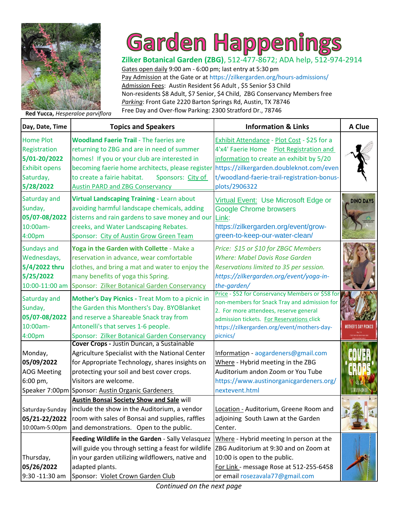

## **Garden Happenings**

**Zilker Botanical Garden (ZBG)**, 512-477-8672; ADA help, 512-974-2914 Gates open daily 9:00 am - 6:00 pm; last entry at 5:30 pm Pay Admission at the Gate or at https://zilkergarden.org/hours-admissions/ Admission Fees: Austin Resident \$6 Adult , \$5 Senior \$3 Child [Non-residents \\$8 Adult, \\$7 Senior, \\$4 Child, ZBG Conservancy Members free](https://zilkergarden.org/) *Parking*: Front Gate 2220 Barton Springs Rd, Austin, TX 78746 Free Day and Over-flow Parking: 2300 Stratford Dr., 78746 **Red Yucca,** *Hesperaloe parviflora*

| Day, Date, Time                                                                                    | <b>Topics and Speakers</b>                                                                                                                                                                                                                                                                     | <b>Information &amp; Links</b>                                                                                                                                                                                                                     | A Clue           |
|----------------------------------------------------------------------------------------------------|------------------------------------------------------------------------------------------------------------------------------------------------------------------------------------------------------------------------------------------------------------------------------------------------|----------------------------------------------------------------------------------------------------------------------------------------------------------------------------------------------------------------------------------------------------|------------------|
| <b>Home Plot</b><br>Registration<br>5/01-20/2022<br><b>Exhibit opens</b><br>Saturday,<br>5/28/2022 | <b>Woodland Faerie Trail - The faeries are</b><br>returning to ZBG and are in need of summer<br>homes! If you or your club are interested in<br>becoming faerie home architects, please register<br>to create a fairie habitat.<br>Sponsors: City of<br><b>Austin PARD and ZBG Conservancy</b> | Exhibit Attendance - Plot Cost - \$25 for a<br>4'x4' Faerie Home Plot Registration and<br>information to create an exhibit by 5/20<br>https://zilkergarden.doubleknot.com/even<br>t/woodland-faerie-trail-registration-bonus-<br>plots/2906322     |                  |
| Saturday and<br>Sunday,<br>05/07-08/2022<br>10:00am-<br>4:00pm                                     | Virtual Landscaping Training - Learn about<br>avoiding harmful landscape chemicals, adding<br>cisterns and rain gardens to save money and our<br>creeks, and Water Landscaping Rebates.<br>Sponsor: City of Austin Grow Green Team                                                             | Virtual Event: Use Microsoft Edge or<br><b>Google Chrome browsers</b><br>Link:<br>https://zilkergarden.org/event/grow-<br>green-to-keep-our-water-clean/                                                                                           | <b>DINO DAYS</b> |
| <b>Sundays and</b><br>Wednesdays,<br>5/4/2022 thru<br>5/25/2022<br>10:00-11:00 am                  | Yoga in the Garden with Collette - Make a<br>reservation in advance, wear comfortable<br>clothes, and bring a mat and water to enjoy the<br>many benefits of yoga this Spring.<br>Sponsor: Zilker Botanical Garden Conservancy                                                                 | Price: \$15 or \$10 for ZBGC Members<br><b>Where: Mabel Davis Rose Garden</b><br>Reservations limited to 35 per session.<br>https://zilkergarden.org/event/yoga-in-<br>the-garden/                                                                 |                  |
| Saturday and<br>Sunday,<br>05/07-08/2022<br>10:00am-<br>4:00pm                                     | Mother's Day Picnics - Treat Mom to a picnic in<br>the Garden this Monthers's Day. BYOBlanket<br>and reserve a Shareable Snack tray from<br>Antonelli's that serves 1-6 people.<br>Sponsor: Zilker Botanical Garden Conservancy                                                                | Price - \$52 for Conservancy Members or \$58 for<br>non-members for Snack Tray and admission for<br>2. For more attendees, reserve general<br>admission tickets. For Reservations click<br>https://zilkergarden.org/event/mothers-day-<br>picnics/ |                  |
| Monday,<br>05/09/2022<br><b>AOG Meeting</b><br>6:00 pm,                                            | Cover Crops - Justin Duncan, a Sustainable<br>Agriculture Specialist with the National Center<br>for Appropriate Technology, shares insights on<br>protecting your soil and best cover crops.<br>Visitors are welcome.<br>Speaker 7:00pm Sponsor: Austin Organic Gardeners                     | Information - aogardeners@gmail.com<br>Where - Hybrid meeting in the ZBG<br>Auditorium andon Zoom or You Tube<br>https://www.austinorganicgardeners.org/<br>nextevent.html                                                                         |                  |
| Saturday-Sunday<br>05/21-22/2022<br>10:00am-5:00pm                                                 | <b>Austin Bonsai Society Show and Sale will</b><br>include the show in the Auditorium, a vendor<br>room with sales of Bonsai and supplies, raffles<br>and demonstrations. Open to the public.                                                                                                  | Location - Auditorium, Greene Room and<br>adjoining South Lawn at the Garden<br>Center.                                                                                                                                                            |                  |
| Thursday,<br>05/26/2022<br>9:30 -11:30 am                                                          | Feeding Wildlife in the Garden - Sally Velasquez<br>will guide you through setting a feast for wildlife<br>in your garden utilizing wildflowers, native and<br>adapted plants.<br>Sponsor: Violet Crown Garden Club                                                                            | Where - Hybrid meeting In person at the<br>ZBG Auditorium at 9:30 and on Zoom at<br>10:00 is open to the public.<br>For Link - message Rose at 512-255-6458<br>or email rosezavala77@gmail.com                                                     |                  |